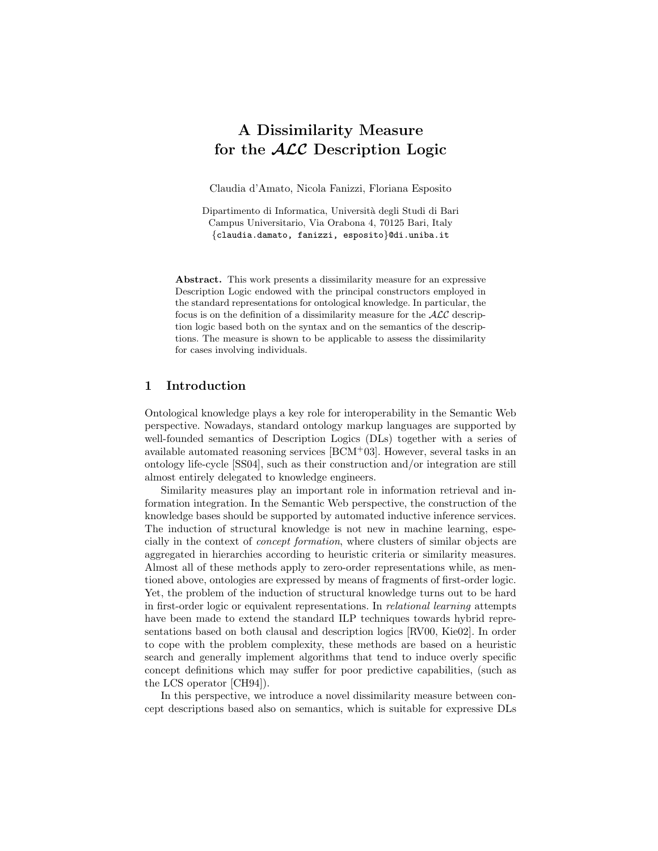# A Dissimilarity Measure for the  $\cal{ALC}$  Description Logic

Claudia d'Amato, Nicola Fanizzi, Floriana Esposito

Dipartimento di Informatica, Universit`a degli Studi di Bari Campus Universitario, Via Orabona 4, 70125 Bari, Italy {claudia.damato, fanizzi, esposito}@di.uniba.it

Abstract. This work presents a dissimilarity measure for an expressive Description Logic endowed with the principal constructors employed in the standard representations for ontological knowledge. In particular, the focus is on the definition of a dissimilarity measure for the  $ALC$  description logic based both on the syntax and on the semantics of the descriptions. The measure is shown to be applicable to assess the dissimilarity for cases involving individuals.

# 1 Introduction

Ontological knowledge plays a key role for interoperability in the Semantic Web perspective. Nowadays, standard ontology markup languages are supported by well-founded semantics of Description Logics (DLs) together with a series of available automated reasoning services  $[BCM<sup>+</sup>03]$ . However, several tasks in an ontology life-cycle [SS04], such as their construction and/or integration are still almost entirely delegated to knowledge engineers.

Similarity measures play an important role in information retrieval and information integration. In the Semantic Web perspective, the construction of the knowledge bases should be supported by automated inductive inference services. The induction of structural knowledge is not new in machine learning, especially in the context of concept formation, where clusters of similar objects are aggregated in hierarchies according to heuristic criteria or similarity measures. Almost all of these methods apply to zero-order representations while, as mentioned above, ontologies are expressed by means of fragments of first-order logic. Yet, the problem of the induction of structural knowledge turns out to be hard in first-order logic or equivalent representations. In relational learning attempts have been made to extend the standard ILP techniques towards hybrid representations based on both clausal and description logics [RV00, Kie02]. In order to cope with the problem complexity, these methods are based on a heuristic search and generally implement algorithms that tend to induce overly specific concept definitions which may suffer for poor predictive capabilities, (such as the LCS operator [CH94]).

In this perspective, we introduce a novel dissimilarity measure between concept descriptions based also on semantics, which is suitable for expressive DLs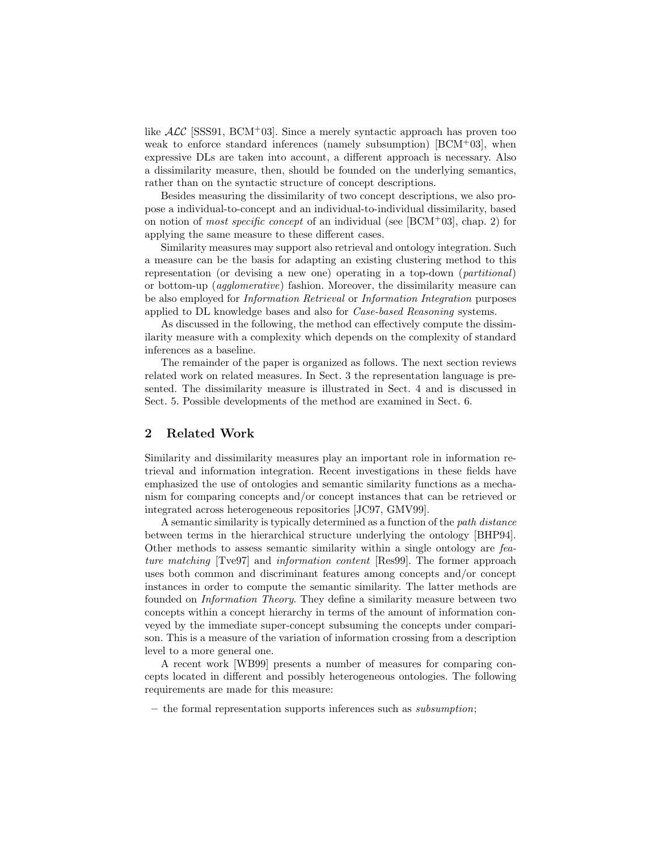like  $\mathcal{ALC}$  [SSS91, BCM+03]. Since a merely syntactic approach has proven too weak to enforce standard inferences (namely subsumption)  $[BCM+03]$ , when expressive DLs are taken into account, a different approach is necessary. Also a dissimilarity measure, then, should be founded on the underlying semantics, rather than on the syntactic structure of concept descriptions.

Besides measuring the dissimilarity of two concept descriptions, we also propose a individual-to-concept and an individual-to-individual dissimilarity, based on notion of *most specific concept* of an individual (see  $[BCM^+03]$ , chap. 2) for applying the same measure to these different cases.

Similarity measures may support also retrieval and ontology integration. Such a measure can be the basis for adapting an existing clustering method to this representation (or devising a new one) operating in a top-down (partitional) or bottom-up (agglomerative) fashion. Moreover, the dissimilarity measure can be also employed for Information Retrieval or Information Integration purposes applied to DL knowledge bases and also for Case-based Reasoning systems.

As discussed in the following, the method can effectively compute the dissimilarity measure with a complexity which depends on the complexity of standard inferences as a baseline.

The remainder of the paper is organized as follows. The next section reviews related work on related measures. In Sect. 3 the representation language is presented. The dissimilarity measure is illustrated in Sect. 4 and is discussed in Sect. 5. Possible developments of the method are examined in Sect. 6.

# 2 Related Work

Similarity and dissimilarity measures play an important role in information retrieval and information integration. Recent investigations in these fields have emphasized the use of ontologies and semantic similarity functions as a mechanism for comparing concepts and/or concept instances that can be retrieved or integrated across heterogeneous repositories [JC97, GMV99].

A semantic similarity is typically determined as a function of the path distance between terms in the hierarchical structure underlying the ontology [BHP94]. Other methods to assess semantic similarity within a single ontology are feature matching [Tve97] and information content [Res99]. The former approach uses both common and discriminant features among concepts and/or concept instances in order to compute the semantic similarity. The latter methods are founded on Information Theory. They define a similarity measure between two concepts within a concept hierarchy in terms of the amount of information conveyed by the immediate super-concept subsuming the concepts under comparison. This is a measure of the variation of information crossing from a description level to a more general one.

A recent work [WB99] presents a number of measures for comparing concepts located in different and possibly heterogeneous ontologies. The following requirements are made for this measure:

– the formal representation supports inferences such as subsumption;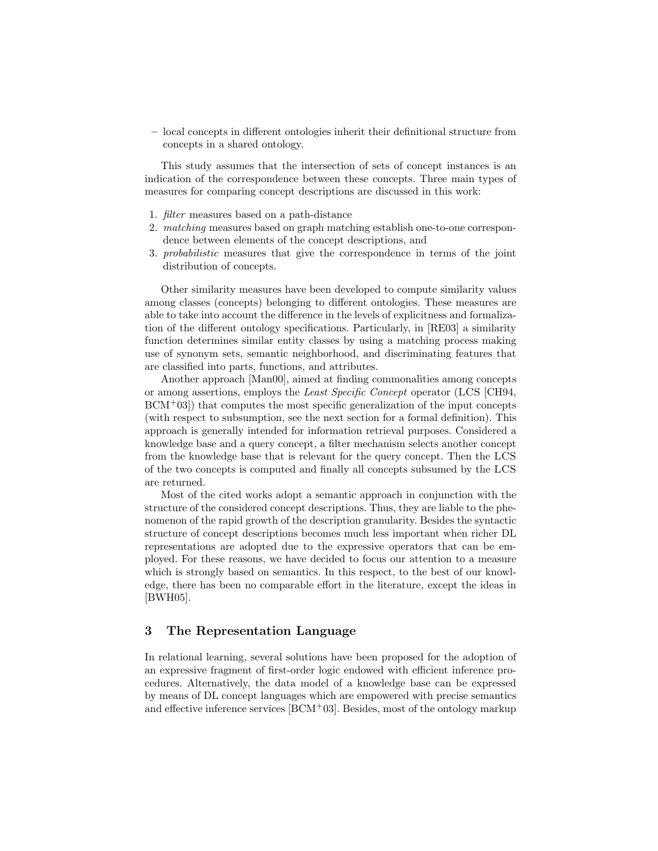– local concepts in different ontologies inherit their definitional structure from concepts in a shared ontology.

This study assumes that the intersection of sets of concept instances is an indication of the correspondence between these concepts. Three main types of measures for comparing concept descriptions are discussed in this work:

- 1. filter measures based on a path-distance
- 2. matching measures based on graph matching establish one-to-one correspondence between elements of the concept descriptions, and
- 3. probabilistic measures that give the correspondence in terms of the joint distribution of concepts.

Other similarity measures have been developed to compute similarity values among classes (concepts) belonging to different ontologies. These measures are able to take into account the difference in the levels of explicitness and formalization of the different ontology specifications. Particularly, in [RE03] a similarity function determines similar entity classes by using a matching process making use of synonym sets, semantic neighborhood, and discriminating features that are classified into parts, functions, and attributes.

Another approach [Man00], aimed at finding commonalities among concepts or among assertions, employs the Least Specific Concept operator (LCS [CH94,  $BCM<sup>+</sup>03$ ) that computes the most specific generalization of the input concepts (with respect to subsumption, see the next section for a formal definition). This approach is generally intended for information retrieval purposes. Considered a knowledge base and a query concept, a filter mechanism selects another concept from the knowledge base that is relevant for the query concept. Then the LCS of the two concepts is computed and finally all concepts subsumed by the LCS are returned.

Most of the cited works adopt a semantic approach in conjunction with the structure of the considered concept descriptions. Thus, they are liable to the phenomenon of the rapid growth of the description granularity. Besides the syntactic structure of concept descriptions becomes much less important when richer DL representations are adopted due to the expressive operators that can be employed. For these reasons, we have decided to focus our attention to a measure which is strongly based on semantics. In this respect, to the best of our knowledge, there has been no comparable effort in the literature, except the ideas in [BWH05].

# 3 The Representation Language

In relational learning, several solutions have been proposed for the adoption of an expressive fragment of first-order logic endowed with efficient inference procedures. Alternatively, the data model of a knowledge base can be expressed by means of DL concept languages which are empowered with precise semantics and effective inference services  $[BCM^+03]$ . Besides, most of the ontology markup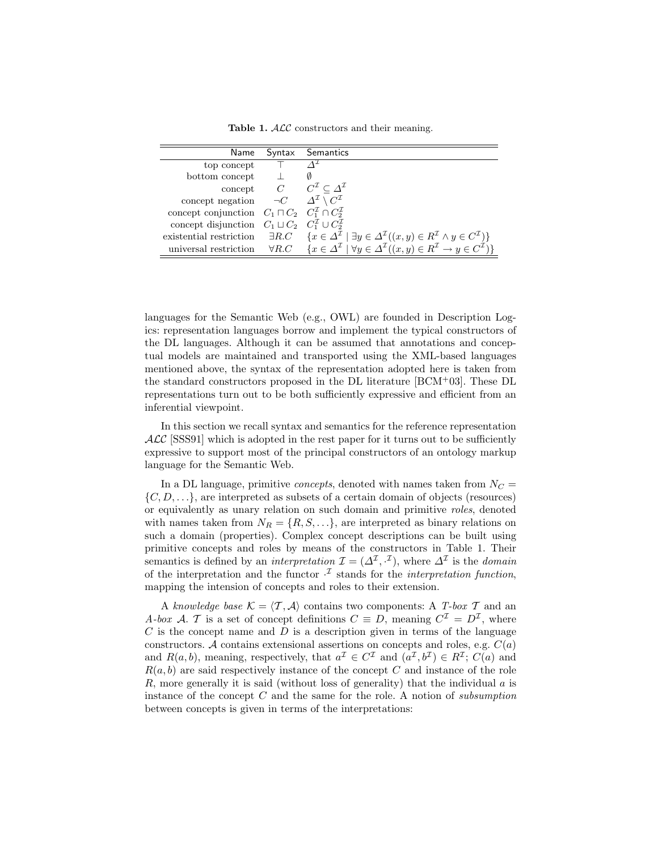Table 1.  $ALC$  constructors and their meaning.

| Name                                                                            | Syntax Semantics                                                                                                                                                            |
|---------------------------------------------------------------------------------|-----------------------------------------------------------------------------------------------------------------------------------------------------------------------------|
| top concept                                                                     |                                                                                                                                                                             |
| bottom concept                                                                  |                                                                                                                                                                             |
|                                                                                 | concept $C \subset C^{\mathcal{I}} \subset \Delta^{\mathcal{I}}$                                                                                                            |
| concept negation $\neg C$ $\Delta^{\mathcal{I}} \setminus C^{\mathcal{I}}$      |                                                                                                                                                                             |
| concept conjunction $C_1 \sqcap C_2$ $C_1^{\mathcal{I}} \cap C_2^{\mathcal{I}}$ |                                                                                                                                                                             |
| concept disjunction $C_1 \sqcup C_2$ $C_1^{\mathcal{I}} \cup C_2^{\mathcal{I}}$ |                                                                                                                                                                             |
|                                                                                 | existential restriction $\exists R.C \quad \{x \in \Delta^{\mathcal{I}} \mid \exists y \in \Delta^{\mathcal{I}}((x, y) \in R^{\mathcal{I}} \land y \in C^{\mathcal{I}})\}\$ |
| universal restriction                                                           | $\forall R.C \quad \{x \in \Delta^{\mathcal{I}} \mid \forall y \in \Delta^{\mathcal{I}}((x, y) \in R^{\mathcal{I}} \rightarrow y \in C^{\mathcal{I}})\}\$                   |

languages for the Semantic Web (e.g., OWL) are founded in Description Logics: representation languages borrow and implement the typical constructors of the DL languages. Although it can be assumed that annotations and conceptual models are maintained and transported using the XML-based languages mentioned above, the syntax of the representation adopted here is taken from the standard constructors proposed in the DL literature [BCM<sup>+</sup>03]. These DL representations turn out to be both sufficiently expressive and efficient from an inferential viewpoint.

In this section we recall syntax and semantics for the reference representation  $\text{ALC}$  [SSS91] which is adopted in the rest paper for it turns out to be sufficiently expressive to support most of the principal constructors of an ontology markup language for the Semantic Web.

In a DL language, primitive *concepts*, denoted with names taken from  $N_C =$  $\{C, D, \ldots\}$ , are interpreted as subsets of a certain domain of objects (resources) or equivalently as unary relation on such domain and primitive roles, denoted with names taken from  $N_R = \{R, S, \ldots\}$ , are interpreted as binary relations on such a domain (properties). Complex concept descriptions can be built using primitive concepts and roles by means of the constructors in Table 1. Their semantics is defined by an *interpretation*  $\mathcal{I} = (\Delta^{\mathcal{I}}, \cdot^{\mathcal{I}})$ , where  $\Delta^{\mathcal{I}}$  is the *domain* of the interpretation and the functor  $\cdot^{\mathcal{I}}$  stands for the *interpretation function*, mapping the intension of concepts and roles to their extension.

A knowledge base  $\mathcal{K} = \langle \mathcal{T}, \mathcal{A} \rangle$  contains two components: A T-box T and an A-box A. T is a set of concept definitions  $C \equiv D$ , meaning  $C^{\mathcal{I}} = D^{\mathcal{I}}$ , where  $C$  is the concept name and  $D$  is a description given in terms of the language constructors. A contains extensional assertions on concepts and roles, e.g.  $C(a)$ and  $R(a, b)$ , meaning, respectively, that  $a^{\mathcal{I}} \in C^{\mathcal{I}}$  and  $(a^{\mathcal{I}}, b^{\mathcal{I}}) \in R^{\mathcal{I}}$ ;  $C(a)$  and  $R(a, b)$  are said respectively instance of the concept C and instance of the role R, more generally it is said (without loss of generality) that the individual  $\alpha$  is instance of the concept  $C$  and the same for the role. A notion of *subsumption* between concepts is given in terms of the interpretations: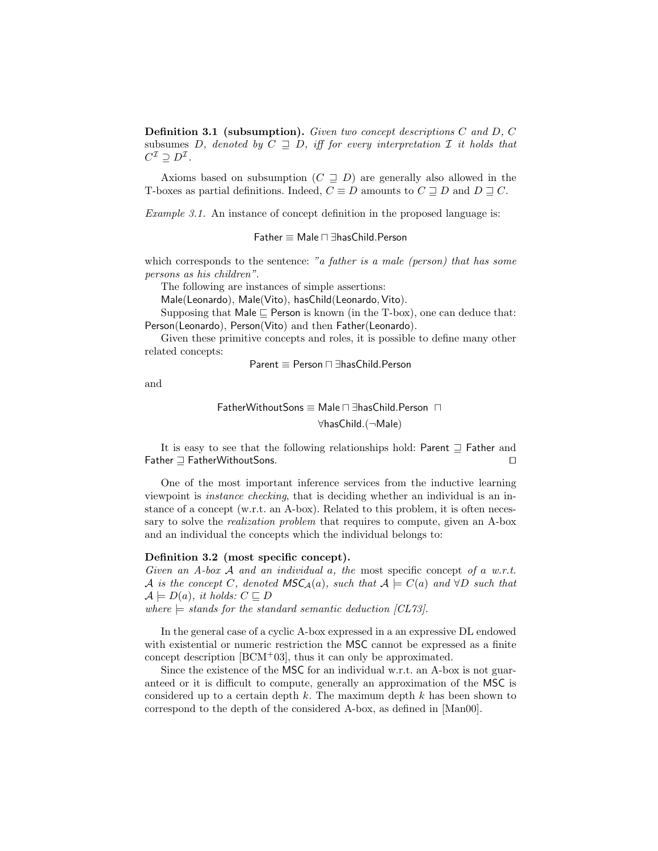Definition 3.1 (subsumption). Given two concept descriptions C and D, C subsumes D, denoted by  $C \supseteq D$ , iff for every interpretation I it holds that  $C^{\mathcal{I}} \supseteq D^{\mathcal{I}}$ .

Axioms based on subsumption  $(C \supseteq D)$  are generally also allowed in the T-boxes as partial definitions. Indeed,  $C \equiv D$  amounts to  $C \sqsupseteq D$  and  $D \sqsupseteq C$ .

Example 3.1. An instance of concept definition in the proposed language is:

Father ≡ Male u ∃hasChild.Person

which corresponds to the sentence: "a father is a male (person) that has some persons as his children".

The following are instances of simple assertions:

Male(Leonardo), Male(Vito), hasChild(Leonardo, Vito).

Supposing that Male  $\sqsubseteq$  Person is known (in the T-box), one can deduce that: Person(Leonardo), Person(Vito) and then Father(Leonardo).

Given these primitive concepts and roles, it is possible to define many other related concepts:

$$
Parent \equiv Person \sqcap \exists hasChild.Person
$$

and

$$
\text{FatherWithout Sons} \equiv \text{Male} \sqcap \exists \text{hasChild}.\text{Person}\ \sqcap \newline \forall \text{hasChild}.(\neg \text{Male})
$$

It is easy to see that the following relationships hold: Parent  $\supseteq$  Father and  $\Box$  FatherWithoutSons.  $\Box$ 

One of the most important inference services from the inductive learning viewpoint is instance checking, that is deciding whether an individual is an instance of a concept (w.r.t. an A-box). Related to this problem, it is often necessary to solve the *realization problem* that requires to compute, given an A-box and an individual the concepts which the individual belongs to:

### Definition 3.2 (most specific concept).

Given an A-box A and an individual a, the most specific concept of a w.r.t. A is the concept C, denoted  $\mathsf{MSC}_\mathcal{A}(a)$ , such that  $\mathcal{A} \models C(a)$  and  $\forall D$  such that  $\mathcal{A} \models D(a), \text{ it holds: } C \sqsubseteq D$ 

where  $\models$  stands for the standard semantic deduction [CL73].

In the general case of a cyclic A-box expressed in a an expressive DL endowed with existential or numeric restriction the MSC cannot be expressed as a finite concept description [BCM<sup>+</sup>03], thus it can only be approximated.

Since the existence of the MSC for an individual w.r.t. an A-box is not guaranteed or it is difficult to compute, generally an approximation of the MSC is considered up to a certain depth  $k$ . The maximum depth  $k$  has been shown to correspond to the depth of the considered A-box, as defined in [Man00].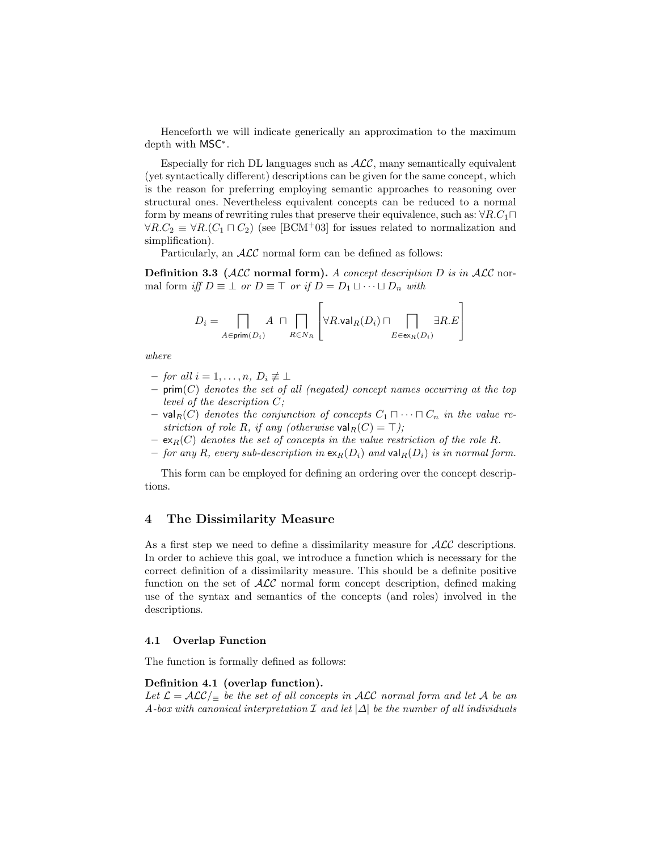Henceforth we will indicate generically an approximation to the maximum depth with MSC<sup>∗</sup> .

Especially for rich DL languages such as  $ALC$ , many semantically equivalent (yet syntactically different) descriptions can be given for the same concept, which is the reason for preferring employing semantic approaches to reasoning over structural ones. Nevertheless equivalent concepts can be reduced to a normal form by means of rewriting rules that preserve their equivalence, such as:  $\forall R.C_1\sqcap$  $\forall R.C_2 \equiv \forall R.(C_1 \sqcap C_2)$  (see [BCM<sup>+</sup>03] for issues related to normalization and simplification).

Particularly, an  $ALC$  normal form can be defined as follows:

**Definition 3.3** ( $\mathcal{ALC}$  normal form). A concept description D is in  $\mathcal{ALC}$  normal form iff  $D \equiv \perp$  or  $D \equiv \top$  or if  $D = D_1 \sqcup \cdots \sqcup D_n$  with

$$
D_i = \bigcap_{A \in \text{prim}(D_i)} A \ \sqcap \bigcap_{R \in N_R} \left[ \forall R.\text{val}_R(D_i) \sqcap \bigcap_{E \in \text{ex}_R(D_i)} \exists R.E \right]
$$

where

- $-$  for all  $i = 1, \ldots, n, D_i \not\equiv \perp$
- $-$  prim $(C)$  denotes the set of all (negated) concept names occurring at the top level of the description C;
- val<sub>R</sub>(C) denotes the conjunction of concepts  $C_1 \sqcap \cdots \sqcap C_n$  in the value restriction of role R, if any (otherwise val $_R(C) = \top$ );
- $-$  ex<sub>R</sub>(C) denotes the set of concepts in the value restriction of the role R.
- for any R, every sub-description in  $\exp(D_i)$  and  $\text{val}_R(D_i)$  is in normal form.

This form can be employed for defining an ordering over the concept descriptions.

# 4 The Dissimilarity Measure

As a first step we need to define a dissimilarity measure for  $\mathcal{ALC}$  descriptions. In order to achieve this goal, we introduce a function which is necessary for the correct definition of a dissimilarity measure. This should be a definite positive function on the set of  $\mathcal{ALC}$  normal form concept description, defined making use of the syntax and semantics of the concepts (and roles) involved in the descriptions.

#### 4.1 Overlap Function

The function is formally defined as follows:

#### Definition 4.1 (overlap function).

Let  $\mathcal{L} = \mathcal{ALC}/_{\equiv}$  be the set of all concepts in ALC normal form and let A be an A-box with canonical interpretation  $\mathcal I$  and let  $|\Delta|$  be the number of all individuals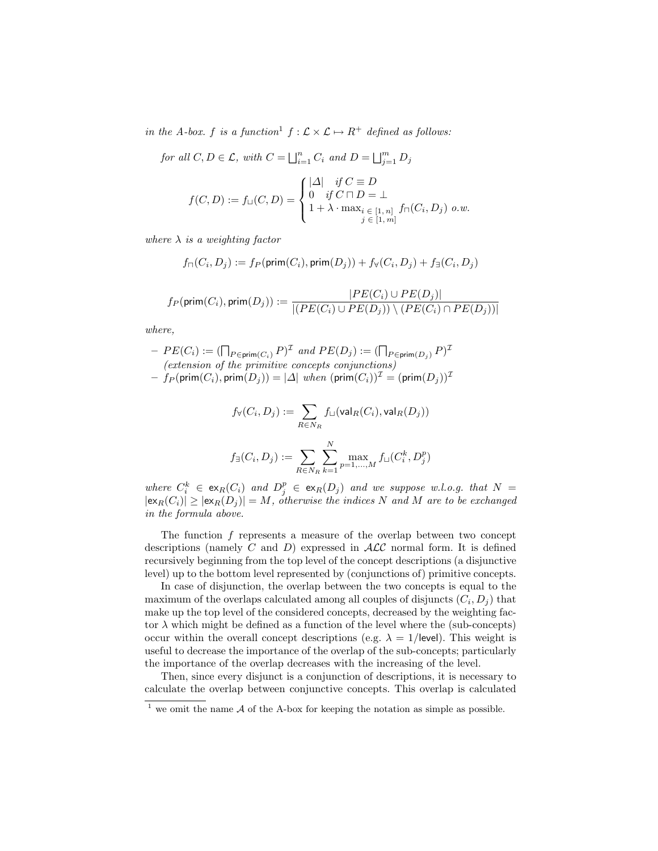in the A-box. f is a function<sup>1</sup>  $f : \mathcal{L} \times \mathcal{L} \mapsto R^+$  defined as follows:

for all  $C, D \in \mathcal{L}$ , with  $C = \bigsqcup_{i=1}^{n} C_i$  and  $D = \bigsqcup_{j=1}^{m} D_j$ 

$$
f(C, D) := f_{\sqcup}(C, D) = \begin{cases} |\Delta| & \text{if } C \equiv D \\ 0 & \text{if } C \sqcap D = \bot \\ 1 + \lambda \cdot \max_{i \in [1, n]} f_{\sqcap}(C_i, D_j) & o.w. \end{cases}
$$

where  $\lambda$  is a weighting factor

$$
f_\sqcap(C_i,D_j):=f_P(\mathsf{prim}(C_i),\mathsf{prim}(D_j))+f_\forall(C_i,D_j)+f_\exists(C_i,D_j)
$$

$$
f_P(\textsf{prim}(C_i), \textsf{prim}(D_j)) := \frac{|PE(C_i) \cup PE(D_j)|}{|(PE(C_i) \cup PE(D_j)) \setminus (PE(C_i) \cap PE(D_j))|}
$$

where,

 $-PE(C_i) := (\bigcap_{P \in \text{prim}(C_i)} P)^{\mathcal{I}}$  and  $PE(D_j) := (\bigcap_{P \in \text{prim}(D_j)} P)^{\mathcal{I}}$ (extension of the primitive concepts conjunctions)  $-f_P(\textsf{prim}(C_i), \textsf{prim}(D_j)) = |\Delta|$  when  $(\textsf{prim}(C_i))^{\mathcal{I}} = (\textsf{prim}(D_j))^{\mathcal{I}}$ 

$$
f_{\forall}(C_i, D_j) := \sum_{R \in N_R} f_{\sqcup}(\mathsf{val}_R(C_i), \mathsf{val}_R(D_j))
$$
  

$$
f_{\exists}(C_i, D_j) := \sum_{R \in N_R} \sum_{k=1}^N \max_{p=1,\ldots,M} f_{\sqcup}(C_i^k, D_j^p)
$$

where  $C_i^k \in \mathsf{ex}_R(C_i)$  and  $D_j^p \in \mathsf{ex}_R(D_j)$  and we suppose w.l.o.g. that  $N =$  $|\exp(C_i)| \geq |\exp(D_j)| = M$ , otherwise the indices N and M are to be exchanged in the formula above.

The function f represents a measure of the overlap between two concept descriptions (namely C and D) expressed in  $\mathcal{ALC}$  normal form. It is defined recursively beginning from the top level of the concept descriptions (a disjunctive level) up to the bottom level represented by (conjunctions of) primitive concepts.

In case of disjunction, the overlap between the two concepts is equal to the maximum of the overlaps calculated among all couples of disjuncts  $(C_i, D_j)$  that make up the top level of the considered concepts, decreased by the weighting factor  $\lambda$  which might be defined as a function of the level where the (sub-concepts) occur within the overall concept descriptions (e.g.  $\lambda = 1$ /level). This weight is useful to decrease the importance of the overlap of the sub-concepts; particularly the importance of the overlap decreases with the increasing of the level.

Then, since every disjunct is a conjunction of descriptions, it is necessary to calculate the overlap between conjunctive concepts. This overlap is calculated

 $\frac{1}{1}$  we omit the name A of the A-box for keeping the notation as simple as possible.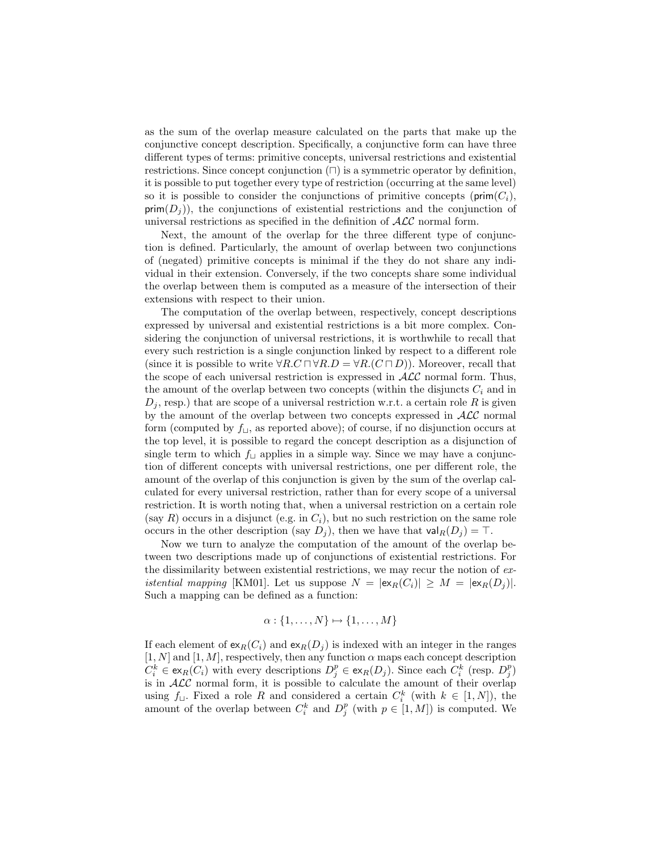as the sum of the overlap measure calculated on the parts that make up the conjunctive concept description. Specifically, a conjunctive form can have three different types of terms: primitive concepts, universal restrictions and existential restrictions. Since concept conjunction  $(\sqcap)$  is a symmetric operator by definition, it is possible to put together every type of restriction (occurring at the same level) so it is possible to consider the conjunctions of primitive concepts ( $\text{prim}(C_i)$ ,  $\textsf{prim}(D_i)$ , the conjunctions of existential restrictions and the conjunction of universal restrictions as specified in the definition of  $\mathcal{ALC}$  normal form.

Next, the amount of the overlap for the three different type of conjunction is defined. Particularly, the amount of overlap between two conjunctions of (negated) primitive concepts is minimal if the they do not share any individual in their extension. Conversely, if the two concepts share some individual the overlap between them is computed as a measure of the intersection of their extensions with respect to their union.

The computation of the overlap between, respectively, concept descriptions expressed by universal and existential restrictions is a bit more complex. Considering the conjunction of universal restrictions, it is worthwhile to recall that every such restriction is a single conjunction linked by respect to a different role (since it is possible to write  $\forall R.C \sqcap \forall R.D = \forall R.(C \sqcap D)$ ). Moreover, recall that the scope of each universal restriction is expressed in  $\mathcal{ALC}$  normal form. Thus, the amount of the overlap between two concepts (within the disjuncts  $C_i$  and in  $D_i$ , resp.) that are scope of a universal restriction w.r.t. a certain role R is given by the amount of the overlap between two concepts expressed in  $ALC$  normal form (computed by  $f_{\sqcup}$ , as reported above); of course, if no disjunction occurs at the top level, it is possible to regard the concept description as a disjunction of single term to which  $f_{\sqcup}$  applies in a simple way. Since we may have a conjunction of different concepts with universal restrictions, one per different role, the amount of the overlap of this conjunction is given by the sum of the overlap calculated for every universal restriction, rather than for every scope of a universal restriction. It is worth noting that, when a universal restriction on a certain role (say R) occurs in a disjunct (e.g. in  $C_i$ ), but no such restriction on the same role occurs in the other description (say  $D_j$ ), then we have that  $\text{val}_R(D_j) = \top$ .

Now we turn to analyze the computation of the amount of the overlap between two descriptions made up of conjunctions of existential restrictions. For the dissimilarity between existential restrictions, we may recur the notion of ex*istential mapping* [KM01]. Let us suppose  $N = |\exp(C_i)| \geq M = |\exp(D_i)|$ . Such a mapping can be defined as a function:

$$
\alpha: \{1, \ldots, N\} \mapsto \{1, \ldots, M\}
$$

If each element of  $\exp(C_i)$  and  $\exp(D_i)$  is indexed with an integer in the ranges  $[1, N]$  and  $[1, M]$ , respectively, then any function  $\alpha$  maps each concept description  $C_i^k \in \text{ex}_R(C_i)$  with every descriptions  $D_j^p \in \text{ex}_R(D_j)$ . Since each  $C_i^k$  (resp.  $D_j^p$ ) is in  $ALC$  normal form, it is possible to calculate the amount of their overlap using  $f_{\sqcup}$ . Fixed a role R and considered a certain  $C_i^k$  (with  $k \in [1, N]$ ), the dising  $j_1$ . Fixed a fole R and considered a certain  $C_i$  (with  $\kappa \in [1, N]$ ), the amount of the overlap between  $C_i^k$  and  $D_j^p$  (with  $p \in [1, M]$ ) is computed. We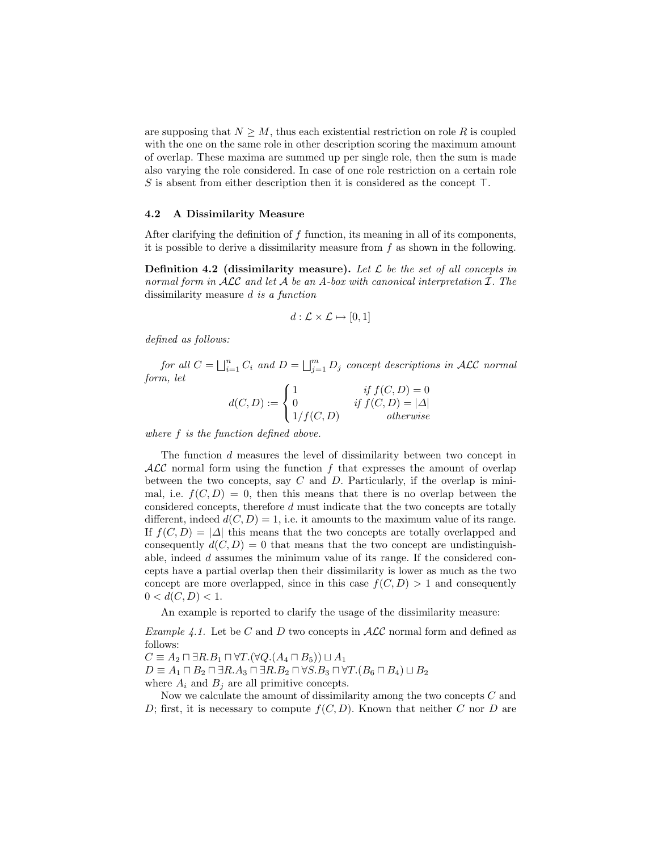are supposing that  $N \geq M$ , thus each existential restriction on role R is coupled with the one on the same role in other description scoring the maximum amount of overlap. These maxima are summed up per single role, then the sum is made also varying the role considered. In case of one role restriction on a certain role S is absent from either description then it is considered as the concept  $\top$ .

#### 4.2 A Dissimilarity Measure

After clarifying the definition of f function, its meaning in all of its components, it is possible to derive a dissimilarity measure from  $f$  as shown in the following.

**Definition 4.2 (dissimilarity measure).** Let  $\mathcal{L}$  be the set of all concepts in normal form in  $\mathcal{ALC}$  and let  $\mathcal A$  be an A-box with canonical interpretation  $\mathcal I$ . The dissimilarity measure d is a function

$$
d: \mathcal{L} \times \mathcal{L} \mapsto [0,1]
$$

defined as follows:

for all  $C = \bigsqcup_{i=1}^n C_i$  and  $D = \bigsqcup_{j=1}^m D_j$  concept descriptions in ALC normal form, let

$$
d(C, D) := \begin{cases} 1 & \text{if } f(C, D) = 0 \\ 0 & \text{if } f(C, D) = |\Delta| \\ 1/f(C, D) & \text{otherwise} \end{cases}
$$

where f is the function defined above.

The function d measures the level of dissimilarity between two concept in  $\mathcal{ALC}$  normal form using the function f that expresses the amount of overlap between the two concepts, say  $C$  and  $D$ . Particularly, if the overlap is minimal, i.e.  $f(C, D) = 0$ , then this means that there is no overlap between the considered concepts, therefore d must indicate that the two concepts are totally different, indeed  $d(C, D) = 1$ , i.e. it amounts to the maximum value of its range. If  $f(C, D) = |\Delta|$  this means that the two concepts are totally overlapped and consequently  $d(C, D) = 0$  that means that the two concept are undistinguishable, indeed d assumes the minimum value of its range. If the considered concepts have a partial overlap then their dissimilarity is lower as much as the two concept are more overlapped, since in this case  $f(C, D) > 1$  and consequently  $0 < d(C, D) < 1.$ 

An example is reported to clarify the usage of the dissimilarity measure:

*Example 4.1.* Let be C and D two concepts in  $\text{ALC}$  normal form and defined as follows:

 $C \equiv A_2 \sqcap \exists R.B_1 \sqcap \forall T.(\forall Q.(A_4 \sqcap B_5)) \sqcup A_1$ 

 $D \equiv A_1 \sqcap B_2 \sqcap \exists R.A_3 \sqcap \exists R.B_2 \sqcap \forall S.B_3 \sqcap \forall T.(B_6 \sqcap B_4) \sqcup B_2$ 

where  $A_i$  and  $B_j$  are all primitive concepts.

Now we calculate the amount of dissimilarity among the two concepts C and D; first, it is necessary to compute  $f(C, D)$ . Known that neither C nor D are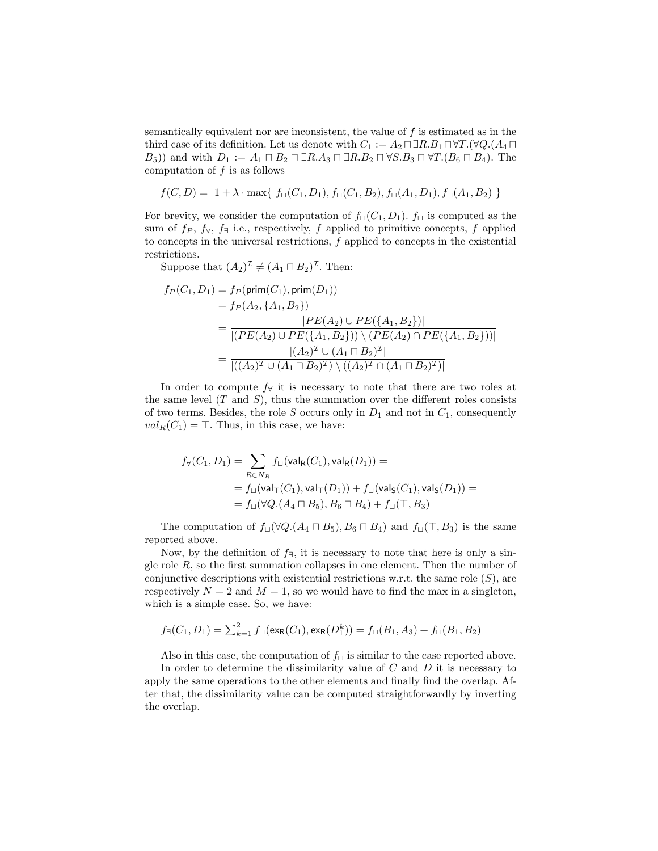semantically equivalent nor are inconsistent, the value of  $f$  is estimated as in the third case of its definition. Let us denote with  $C_1 := A_2 \sqcap \exists R.B_1 \sqcap \forall T.(\forall Q.(A_4 \sqcap$  $(B_5)$ ) and with  $D_1 := A_1 \sqcap B_2 \sqcap \exists R.A_3 \sqcap \exists R.B_2 \sqcap \forall S.B_3 \sqcap \forall T.(B_6 \sqcap B_4)$ . The computation of  $f$  is as follows

$$
f(C, D) = 1 + \lambda \cdot \max\{f_{\sqcap}(C_1, D_1), f_{\sqcap}(C_1, B_2), f_{\sqcap}(A_1, D_1), f_{\sqcap}(A_1, B_2)\}
$$

For brevity, we consider the computation of  $f_{\Box}(C_1, D_1)$ .  $f_{\Box}$  is computed as the sum of  $f_P$ ,  $f_{\forall}$ ,  $f_{\exists}$  i.e., respectively, f applied to primitive concepts, f applied to concepts in the universal restrictions,  $f$  applied to concepts in the existential restrictions.

Suppose that  $(A_2)^{\mathcal{I}} \neq (A_1 \sqcap B_2)^{\mathcal{I}}$ . Then:

$$
f_P(C_1, D_1) = f_P(\text{prim}(C_1), \text{prim}(D_1))
$$
  
=  $f_P(A_2, \{A_1, B_2\})$   
= 
$$
\frac{|PE(A_2) \cup PE(\{A_1, B_2\})|}{|(PE(A_2) \cup PE(\{A_1, B_2\})) \setminus (PE(A_2) \cap PE(\{A_1, B_2\}))|}
$$
  
= 
$$
\frac{|(A_2)^{\mathcal{I}} \cup (A_1 \cap B_2)^{\mathcal{I}}|}{|( (A_2)^{\mathcal{I}} \cup (A_1 \cap B_2)^{\mathcal{I}}) \setminus ((A_2)^{\mathcal{I}} \cap (A_1 \cap B_2)^{\mathcal{I}})|}
$$

In order to compute  $f_{\forall}$  it is necessary to note that there are two roles at the same level  $(T \text{ and } S)$ , thus the summation over the different roles consists of two terms. Besides, the role  $S$  occurs only in  $D_1$  and not in  $C_1$ , consequently  $val_R(C_1) = \top$ . Thus, in this case, we have:

$$
\begin{aligned} f_{\forall}(C_1,D_1) &= \sum_{R\in N_R} f_{\sqcup}(\mathsf{val}_R(C_1),\mathsf{val}_R(D_1)) = \\ &= f_{\sqcup}(\mathsf{val}_{\mathsf{T}}(C_1),\mathsf{val}_{\mathsf{T}}(D_1)) + f_{\sqcup}(\mathsf{val}_{\mathsf{S}}(C_1),\mathsf{val}_{\mathsf{S}}(D_1)) = \\ &= f_{\sqcup}(\forall Q.(A_4\sqcap B_5),B_6\sqcap B_4) + f_{\sqcup}(\top,B_3) \end{aligned}
$$

The computation of  $f_{\Box}(\forall Q.(A_4 \Box B_5), B_6 \Box B_4)$  and  $f_{\Box}(\top, B_3)$  is the same reported above.

Now, by the definition of  $f_{\exists}$ , it is necessary to note that here is only a single role  $R$ , so the first summation collapses in one element. Then the number of conjunctive descriptions with existential restrictions w.r.t. the same role  $(S)$ , are respectively  $N = 2$  and  $M = 1$ , so we would have to find the max in a singleton, which is a simple case. So, we have:

$$
f_{\exists}(C_1, D_1) = \sum_{k=1}^{2} f_{\sqcup}(\exp(C_1), \exp(D_1^k)) = f_{\sqcup}(B_1, A_3) + f_{\sqcup}(B_1, B_2)
$$

Also in this case, the computation of  $f_{\sqcup}$  is similar to the case reported above. In order to determine the dissimilarity value of  $C$  and  $D$  it is necessary to apply the same operations to the other elements and finally find the overlap. After that, the dissimilarity value can be computed straightforwardly by inverting the overlap.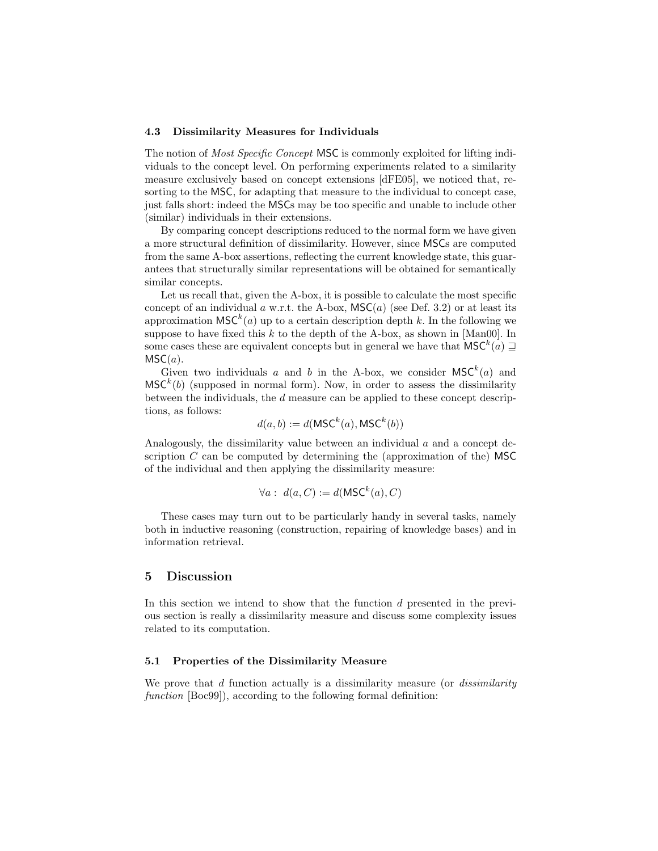### 4.3 Dissimilarity Measures for Individuals

The notion of *Most Specific Concept* MSC is commonly exploited for lifting individuals to the concept level. On performing experiments related to a similarity measure exclusively based on concept extensions [dFE05], we noticed that, resorting to the MSC, for adapting that measure to the individual to concept case, just falls short: indeed the MSCs may be too specific and unable to include other (similar) individuals in their extensions.

By comparing concept descriptions reduced to the normal form we have given a more structural definition of dissimilarity. However, since MSCs are computed from the same A-box assertions, reflecting the current knowledge state, this guarantees that structurally similar representations will be obtained for semantically similar concepts.

Let us recall that, given the A-box, it is possible to calculate the most specific concept of an individual a w.r.t. the A-box,  $\mathsf{MSC}(a)$  (see Def. 3.2) or at least its approximation  $\mathsf{MSC}^k(a)$  up to a certain description depth k. In the following we suppose to have fixed this  $k$  to the depth of the A-box, as shown in [Man00]. In some cases these are equivalent concepts but in general we have that  $\mathsf{MSC}^k(a) \sqsupseteq$  $MSC(a)$ .

Given two individuals a and b in the A-box, we consider  $\mathsf{MSC}^k(a)$  and  $\mathsf{MSC}^k(b)$  (supposed in normal form). Now, in order to assess the dissimilarity between the individuals, the d measure can be applied to these concept descriptions, as follows:

$$
d(a, b) := d(MSC^k(a), \mathsf{MSC}^k(b))
$$

Analogously, the dissimilarity value between an individual  $a$  and a concept description  $C$  can be computed by determining the (approximation of the) MSC of the individual and then applying the dissimilarity measure:

$$
\forall a: d(a, C) := d(MSC^k(a), C)
$$

These cases may turn out to be particularly handy in several tasks, namely both in inductive reasoning (construction, repairing of knowledge bases) and in information retrieval.

## 5 Discussion

In this section we intend to show that the function  $d$  presented in the previous section is really a dissimilarity measure and discuss some complexity issues related to its computation.

### 5.1 Properties of the Dissimilarity Measure

We prove that  $d$  function actually is a dissimilarity measure (or *dissimilarity* function [Boc99]), according to the following formal definition: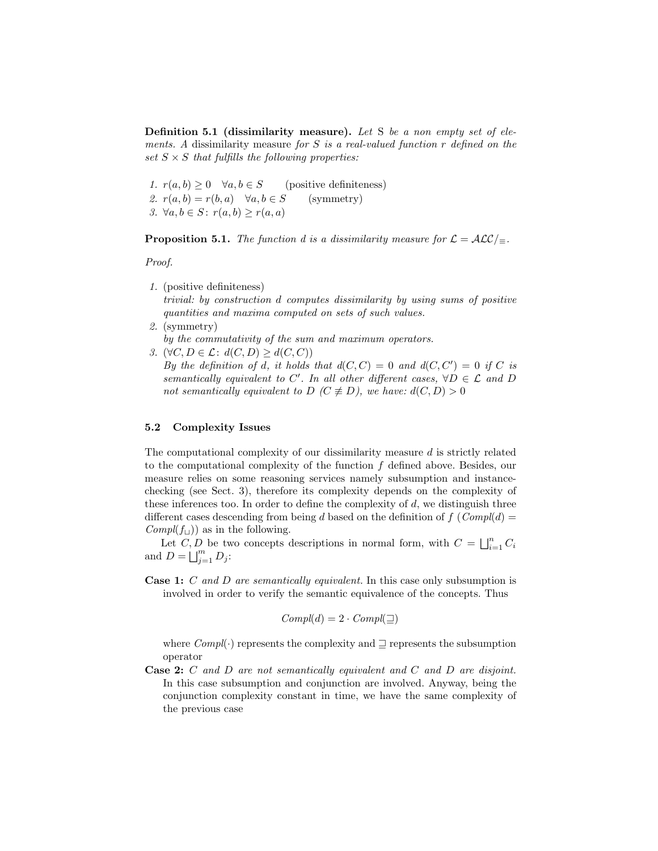Definition 5.1 (dissimilarity measure). Let S be a non empty set of elements. A dissimilarity measure for  $S$  is a real-valued function  $r$  defined on the set  $S \times S$  that fulfills the following properties:

1.  $r(a, b) \ge 0 \quad \forall a, b \in S$  (positive definiteness) 2.  $r(a, b) = r(b, a)$   $\forall a, b \in S$  (symmetry) 3.  $\forall a, b \in S: r(a, b) \geq r(a, a)$ 

**Proposition 5.1.** The function d is a dissimilarity measure for  $\mathcal{L} = \mathcal{ALC}/_{\equiv}$ .

Proof.

1. (positive definiteness)

trivial: by construction d computes dissimilarity by using sums of positive quantities and maxima computed on sets of such values.

2. (symmetry)

by the commutativity of the sum and maximum operators.

3.  $(\forall C, D \in \mathcal{L}: d(C, D) > d(C, C))$ 

By the definition of d, it holds that  $d(C, C) = 0$  and  $d(C, C') = 0$  if C is semantically equivalent to C'. In all other different cases,  $\forall D \in \mathcal{L}$  and D not semantically equivalent to D ( $C \not\equiv D$ ), we have:  $d(C, D) > 0$ 

#### 5.2 Complexity Issues

The computational complexity of our dissimilarity measure d is strictly related to the computational complexity of the function  $f$  defined above. Besides, our measure relies on some reasoning services namely subsumption and instancechecking (see Sect. 3), therefore its complexity depends on the complexity of these inferences too. In order to define the complexity of  $d$ , we distinguish three different cases descending from being d based on the definition of  $f(Compl(d))$  $Compl(f_{\sqcup})$  as in the following.

Let C, D be two concepts descriptions in normal form, with  $C = \bigsqcup_{i=1}^{n} C_i$ and  $D = \bigsqcup_{j=1}^m D_j$ :

Case 1: C and D are semantically equivalent. In this case only subsumption is involved in order to verify the semantic equivalence of the concepts. Thus

$$
Compl(d) = 2 \cdot Compl(\sqsupseteq)
$$

where  $Compl(\cdot)$  represents the complexity and  $\supseteq$  represents the subsumption operator

Case 2: C and D are not semantically equivalent and C and D are disjoint. In this case subsumption and conjunction are involved. Anyway, being the conjunction complexity constant in time, we have the same complexity of the previous case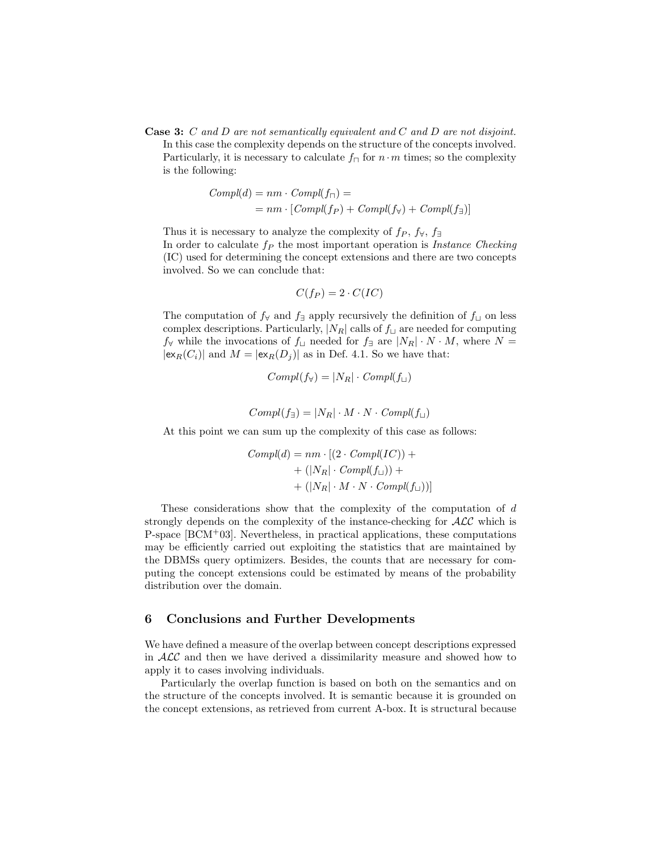Case 3: C and D are not semantically equivalent and C and D are not disjoint. In this case the complexity depends on the structure of the concepts involved. Particularly, it is necessary to calculate  $f_{\Box}$  for  $n \cdot m$  times; so the complexity is the following:

$$
Compl(d) = nm \cdot Compl(f_{\sqcap}) =
$$
  
= nm \cdot [Compl(f\_{P}) + Compl(f\_{\forall}) + Compl(f\_{\exists})]

Thus it is necessary to analyze the complexity of  $f_P$ ,  $f_{\forall}$ ,  $f_{\exists}$ In order to calculate  $f_P$  the most important operation is *Instance Checking* (IC) used for determining the concept extensions and there are two concepts involved. So we can conclude that:

$$
C(f_P) = 2 \cdot C(IC)
$$

The computation of  $f_{\forall}$  and  $f_{\exists}$  apply recursively the definition of  $f_{\sqcup}$  on less complex descriptions. Particularly,  $|N_R|$  calls of  $f_{\perp}$  are needed for computing  $f_{\forall}$  while the invocations of  $f_{\sqcup}$  needed for  $f_{\exists}$  are  $|N_R| \cdot N \cdot M$ , where  $N =$  $|\exp(C_i)|$  and  $M = |\exp(D_i)|$  as in Def. 4.1. So we have that:

$$
Compl(f_{\forall}) = |N_R| \cdot Compl(f_{\sqcup})
$$

$$
Compl(f_{\exists}) = |N_R| \cdot M \cdot N \cdot Compl(f_{\sqcup})
$$

At this point we can sum up the complexity of this case as follows:

$$
Compl(d) = nm \cdot [(2 \cdot Compl(IC)) ++ (|N_R| \cdot Compl(f_\sqcup)) ++ (|N_R| \cdot M \cdot N \cdot Compl(f_\sqcup))]
$$

These considerations show that the complexity of the computation of d strongly depends on the complexity of the instance-checking for  $\mathcal{ALC}$  which is P-space [BCM<sup>+</sup>03]. Nevertheless, in practical applications, these computations may be efficiently carried out exploiting the statistics that are maintained by the DBMSs query optimizers. Besides, the counts that are necessary for computing the concept extensions could be estimated by means of the probability distribution over the domain.

## 6 Conclusions and Further Developments

We have defined a measure of the overlap between concept descriptions expressed in  $\mathcal{ALC}$  and then we have derived a dissimilarity measure and showed how to apply it to cases involving individuals.

Particularly the overlap function is based on both on the semantics and on the structure of the concepts involved. It is semantic because it is grounded on the concept extensions, as retrieved from current A-box. It is structural because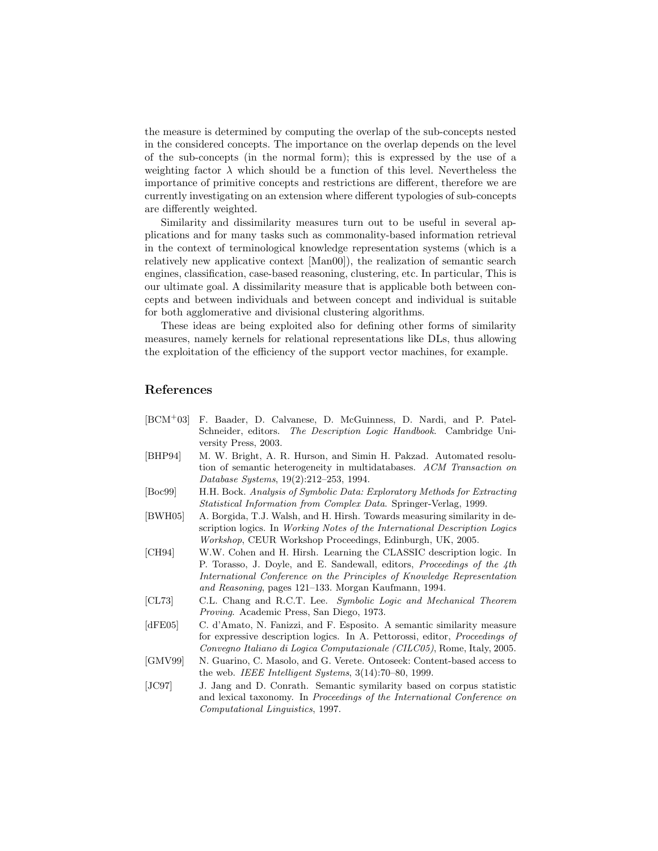the measure is determined by computing the overlap of the sub-concepts nested in the considered concepts. The importance on the overlap depends on the level of the sub-concepts (in the normal form); this is expressed by the use of a weighting factor  $\lambda$  which should be a function of this level. Nevertheless the importance of primitive concepts and restrictions are different, therefore we are currently investigating on an extension where different typologies of sub-concepts are differently weighted.

Similarity and dissimilarity measures turn out to be useful in several applications and for many tasks such as commonality-based information retrieval in the context of terminological knowledge representation systems (which is a relatively new applicative context [Man00]), the realization of semantic search engines, classification, case-based reasoning, clustering, etc. In particular, This is our ultimate goal. A dissimilarity measure that is applicable both between concepts and between individuals and between concept and individual is suitable for both agglomerative and divisional clustering algorithms.

These ideas are being exploited also for defining other forms of similarity measures, namely kernels for relational representations like DLs, thus allowing the exploitation of the efficiency of the support vector machines, for example.

# References

[BCM<sup>+</sup>03] F. Baader, D. Calvanese, D. McGuinness, D. Nardi, and P. Patel-Schneider, editors. The Description Logic Handbook. Cambridge University Press, 2003. [BHP94] M. W. Bright, A. R. Hurson, and Simin H. Pakzad. Automated resolution of semantic heterogeneity in multidatabases. ACM Transaction on Database Systems, 19(2):212–253, 1994. [Boc99] H.H. Bock. Analysis of Symbolic Data: Exploratory Methods for Extracting Statistical Information from Complex Data. Springer-Verlag, 1999. [BWH05] A. Borgida, T.J. Walsh, and H. Hirsh. Towards measuring similarity in description logics. In Working Notes of the International Description Logics Workshop, CEUR Workshop Proceedings, Edinburgh, UK, 2005. [CH94] W.W. Cohen and H. Hirsh. Learning the CLASSIC description logic. In P. Torasso, J. Doyle, and E. Sandewall, editors, *Proceedings of the 4th* International Conference on the Principles of Knowledge Representation and Reasoning, pages 121–133. Morgan Kaufmann, 1994. [CL73] C.L. Chang and R.C.T. Lee. Symbolic Logic and Mechanical Theorem Proving. Academic Press, San Diego, 1973. [dFE05] C. d'Amato, N. Fanizzi, and F. Esposito. A semantic similarity measure for expressive description logics. In A. Pettorossi, editor, Proceedings of Convegno Italiano di Logica Computazionale (CILC05), Rome, Italy, 2005. [GMV99] N. Guarino, C. Masolo, and G. Verete. Ontoseek: Content-based access to the web. IEEE Intelligent Systems, 3(14):70–80, 1999. [JC97] J. Jang and D. Conrath. Semantic symilarity based on corpus statistic and lexical taxonomy. In Proceedings of the International Conference on Computational Linguistics, 1997.